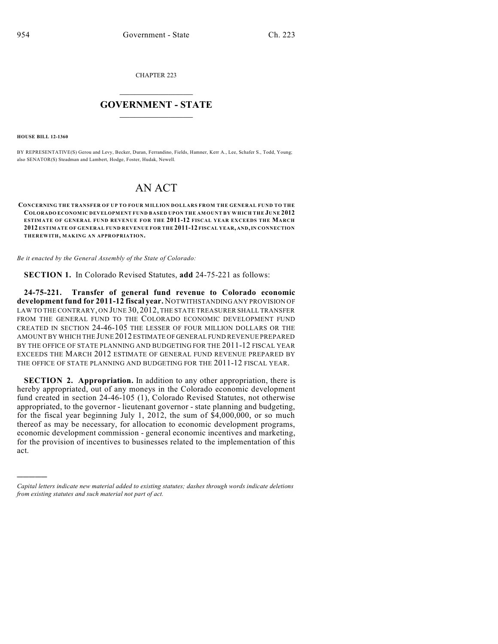CHAPTER 223

## $\overline{\phantom{a}}$  . The set of the set of the set of the set of the set of the set of the set of the set of the set of the set of the set of the set of the set of the set of the set of the set of the set of the set of the set o **GOVERNMENT - STATE**  $\_$

**HOUSE BILL 12-1360**

)))))

BY REPRESENTATIVE(S) Gerou and Levy, Becker, Duran, Ferrandino, Fields, Hamner, Kerr A., Lee, Schafer S., Todd, Young; also SENATOR(S) Steadman and Lambert, Hodge, Foster, Hudak, Newell.

## AN ACT

**CONCERNING THE TRANSFER OF UP TO FOUR MILLION DOLLARS FROM THE GENERAL FUND TO THE COLORADO ECONOMIC DEVELOPMENT FUND BASED UPON THE AMOUNT BY WHICH THE JUNE 2012 ESTIMATE OF GENERAL FUND REVENUE FOR THE 2011-12 FISCAL YEAR EXCEEDS THE MARCH 2012 ESTIMATE OF GENERAL FUND REVENUE FOR THE 2011-12 FISCAL YEAR, AND,IN CONNECTION THEREWITH, MAKING AN APPROPRIATION.**

*Be it enacted by the General Assembly of the State of Colorado:*

**SECTION 1.** In Colorado Revised Statutes, **add** 24-75-221 as follows:

**24-75-221. Transfer of general fund revenue to Colorado economic development fund for 2011-12 fiscal year.** NOTWITHSTANDING ANY PROVISION OF LAW TO THE CONTRARY, ON JUNE 30, 2012, THE STATE TREASURER SHALL TRANSFER FROM THE GENERAL FUND TO THE COLORADO ECONOMIC DEVELOPMENT FUND CREATED IN SECTION 24-46-105 THE LESSER OF FOUR MILLION DOLLARS OR THE AMOUNT BY WHICH THE JUNE 2012 ESTIMATE OFGENERAL FUND REVENUE PREPARED BY THE OFFICE OF STATE PLANNING AND BUDGETING FOR THE 2011-12 FISCAL YEAR EXCEEDS THE MARCH 2012 ESTIMATE OF GENERAL FUND REVENUE PREPARED BY THE OFFICE OF STATE PLANNING AND BUDGETING FOR THE 2011-12 FISCAL YEAR.

**SECTION 2. Appropriation.** In addition to any other appropriation, there is hereby appropriated, out of any moneys in the Colorado economic development fund created in section 24-46-105 (1), Colorado Revised Statutes, not otherwise appropriated, to the governor - lieutenant governor - state planning and budgeting, for the fiscal year beginning July 1, 2012, the sum of \$4,000,000, or so much thereof as may be necessary, for allocation to economic development programs, economic development commission - general economic incentives and marketing, for the provision of incentives to businesses related to the implementation of this act.

*Capital letters indicate new material added to existing statutes; dashes through words indicate deletions from existing statutes and such material not part of act.*